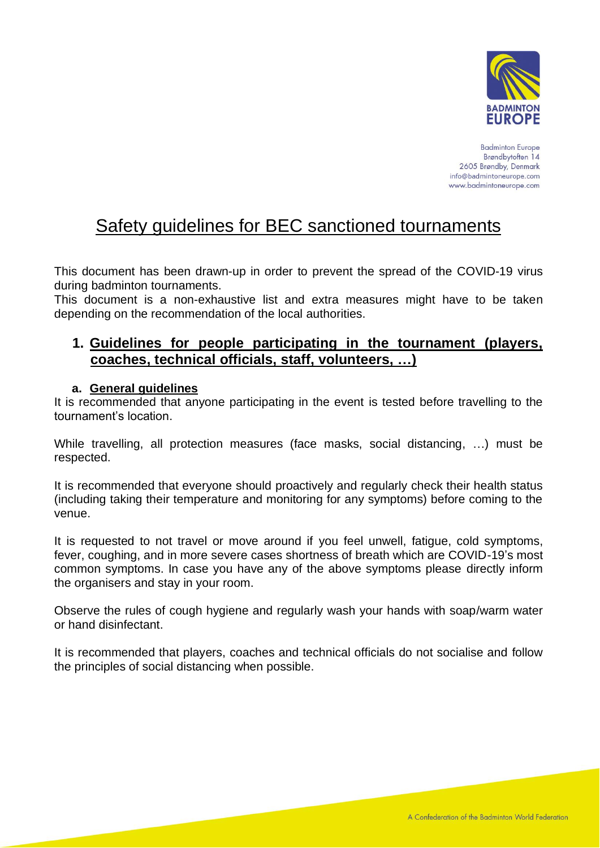

# Safety guidelines for BEC sanctioned tournaments

This document has been drawn-up in order to prevent the spread of the COVID-19 virus during badminton tournaments.

This document is a non-exhaustive list and extra measures might have to be taken depending on the recommendation of the local authorities.

# **1. Guidelines for people participating in the tournament (players, coaches, technical officials, staff, volunteers, …)**

## **a. General guidelines**

It is recommended that anyone participating in the event is tested before travelling to the tournament's location.

While travelling, all protection measures (face masks, social distancing, …) must be respected.

It is recommended that everyone should proactively and regularly check their health status (including taking their temperature and monitoring for any symptoms) before coming to the venue.

It is requested to not travel or move around if you feel unwell, fatigue, cold symptoms, fever, coughing, and in more severe cases shortness of breath which are COVID-19's most common symptoms. In case you have any of the above symptoms please directly inform the organisers and stay in your room.

Observe the rules of cough hygiene and regularly wash your hands with soap/warm water or hand disinfectant.

It is recommended that players, coaches and technical officials do not socialise and follow the principles of social distancing when possible.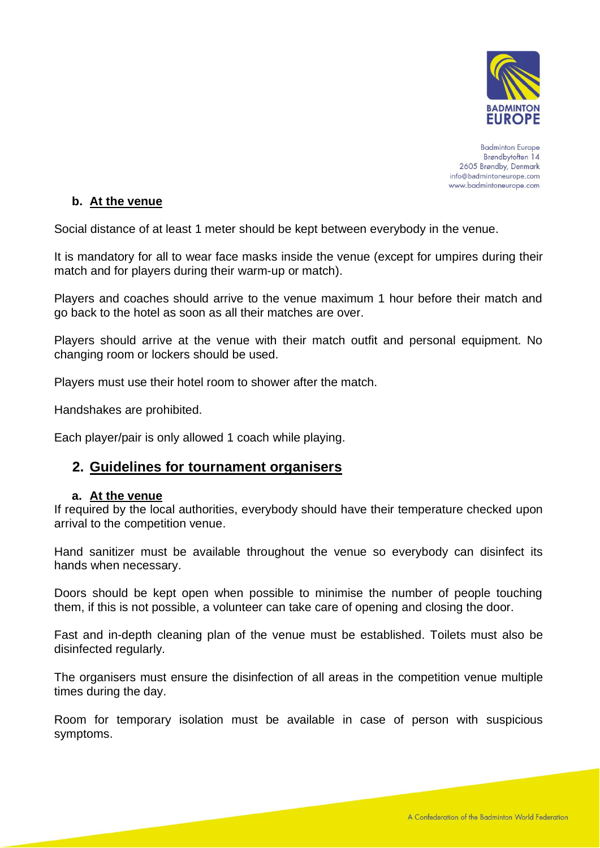

## **b. At the venue**

Social distance of at least 1 meter should be kept between everybody in the venue.

It is mandatory for all to wear face masks inside the venue (except for umpires during their match and for players during their warm-up or match).

Players and coaches should arrive to the venue maximum 1 hour before their match and go back to the hotel as soon as all their matches are over.

Players should arrive at the venue with their match outfit and personal equipment. No changing room or lockers should be used.

Players must use their hotel room to shower after the match.

Handshakes are prohibited.

Each player/pair is only allowed 1 coach while playing.

## **2. Guidelines for tournament organisers**

#### **a. At the venue**

If required by the local authorities, everybody should have their temperature checked upon arrival to the competition venue.

Hand sanitizer must be available throughout the venue so everybody can disinfect its hands when necessary.

Doors should be kept open when possible to minimise the number of people touching them, if this is not possible, a volunteer can take care of opening and closing the door.

Fast and in-depth cleaning plan of the venue must be established. Toilets must also be disinfected regularly.

The organisers must ensure the disinfection of all areas in the competition venue multiple times during the day.

Room for temporary isolation must be available in case of person with suspicious symptoms.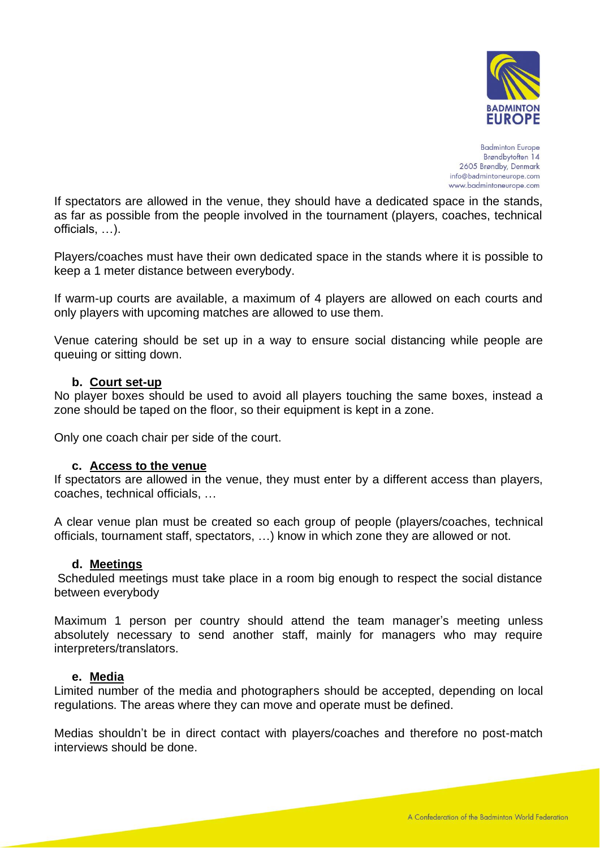

If spectators are allowed in the venue, they should have a dedicated space in the stands, as far as possible from the people involved in the tournament (players, coaches, technical officials, …).

Players/coaches must have their own dedicated space in the stands where it is possible to keep a 1 meter distance between everybody.

If warm-up courts are available, a maximum of 4 players are allowed on each courts and only players with upcoming matches are allowed to use them.

Venue catering should be set up in a way to ensure social distancing while people are queuing or sitting down.

#### **b. Court set-up**

No player boxes should be used to avoid all players touching the same boxes, instead a zone should be taped on the floor, so their equipment is kept in a zone.

Only one coach chair per side of the court.

#### **c. Access to the venue**

If spectators are allowed in the venue, they must enter by a different access than players, coaches, technical officials, …

A clear venue plan must be created so each group of people (players/coaches, technical officials, tournament staff, spectators, …) know in which zone they are allowed or not.

#### **d. Meetings**

Scheduled meetings must take place in a room big enough to respect the social distance between everybody

Maximum 1 person per country should attend the team manager's meeting unless absolutely necessary to send another staff, mainly for managers who may require interpreters/translators.

#### **e. Media**

Limited number of the media and photographers should be accepted, depending on local regulations. The areas where they can move and operate must be defined.

Medias shouldn't be in direct contact with players/coaches and therefore no post-match interviews should be done.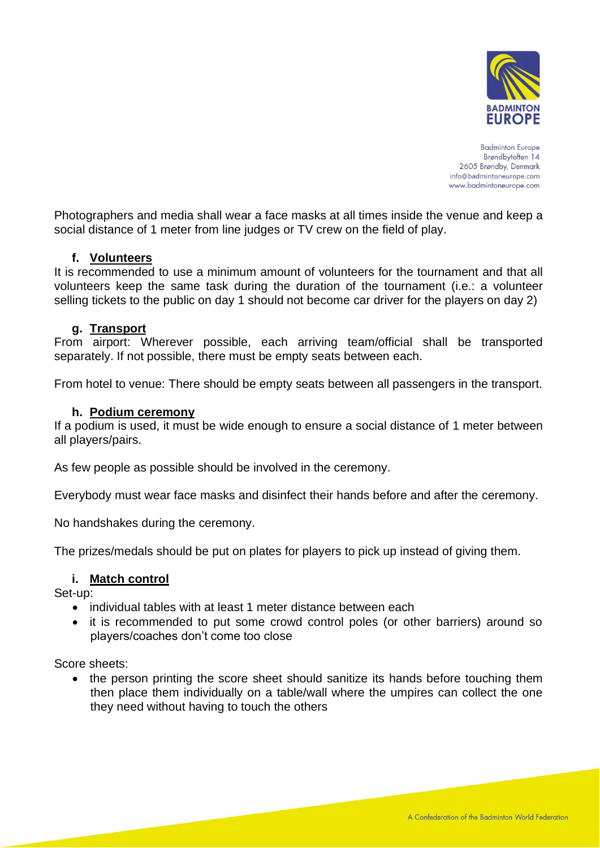

Photographers and media shall wear a face masks at all times inside the venue and keep a social distance of 1 meter from line judges or TV crew on the field of play.

## **f. Volunteers**

It is recommended to use a minimum amount of volunteers for the tournament and that all volunteers keep the same task during the duration of the tournament (i.e.: a volunteer selling tickets to the public on day 1 should not become car driver for the players on day 2)

## **g. Transport**

From airport: Wherever possible, each arriving team/official shall be transported separately. If not possible, there must be empty seats between each.

From hotel to venue: There should be empty seats between all passengers in the transport.

## **h. Podium ceremony**

If a podium is used, it must be wide enough to ensure a social distance of 1 meter between all players/pairs.

As few people as possible should be involved in the ceremony.

Everybody must wear face masks and disinfect their hands before and after the ceremony.

No handshakes during the ceremony.

The prizes/medals should be put on plates for players to pick up instead of giving them.

#### **i. Match control**

Set-up:

- individual tables with at least 1 meter distance between each
- it is recommended to put some crowd control poles (or other barriers) around so players/coaches don't come too close

Score sheets:

• the person printing the score sheet should sanitize its hands before touching them then place them individually on a table/wall where the umpires can collect the one they need without having to touch the others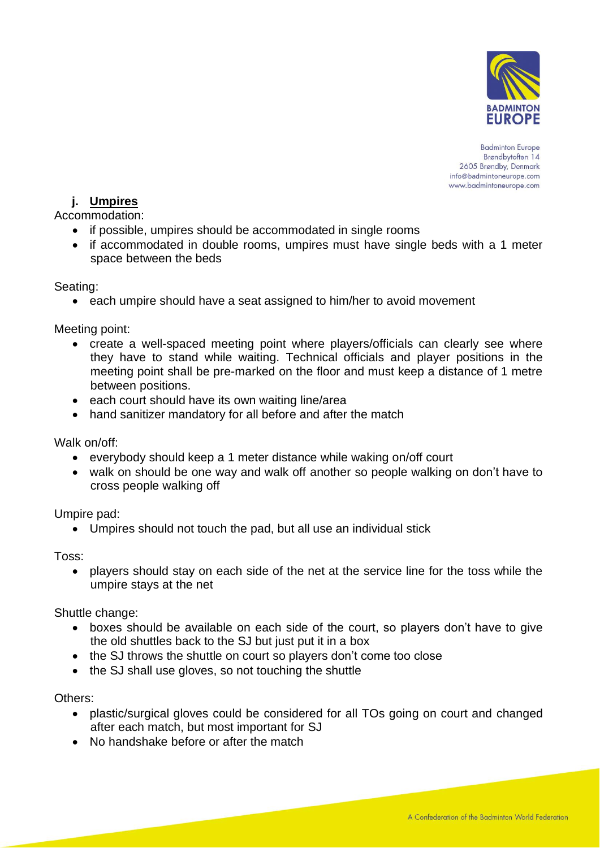

# **j. Umpires**

Accommodation:

- if possible, umpires should be accommodated in single rooms
- if accommodated in double rooms, umpires must have single beds with a 1 meter space between the beds

Seating:

• each umpire should have a seat assigned to him/her to avoid movement

Meeting point:

- create a well-spaced meeting point where players/officials can clearly see where they have to stand while waiting. Technical officials and player positions in the meeting point shall be pre-marked on the floor and must keep a distance of 1 metre between positions.
- each court should have its own waiting line/area
- hand sanitizer mandatory for all before and after the match

Walk on/off:

- everybody should keep a 1 meter distance while waking on/off court
- walk on should be one way and walk off another so people walking on don't have to cross people walking off

Umpire pad:

• Umpires should not touch the pad, but all use an individual stick

Toss:

• players should stay on each side of the net at the service line for the toss while the umpire stays at the net

Shuttle change:

- boxes should be available on each side of the court, so players don't have to give the old shuttles back to the SJ but just put it in a box
- the SJ throws the shuttle on court so players don't come too close
- the SJ shall use gloves, so not touching the shuttle

Others:

- plastic/surgical gloves could be considered for all TOs going on court and changed after each match, but most important for SJ
- No handshake before or after the match